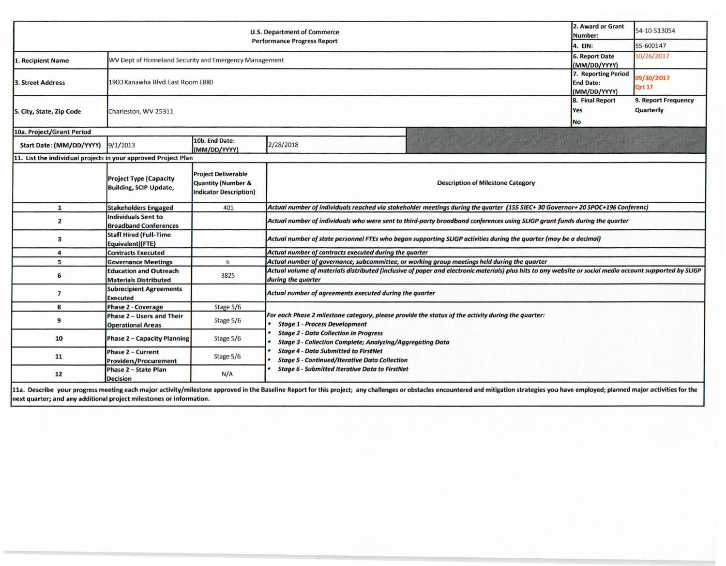| <b>U.S. Department of Commerce</b><br><b>Performance Progress Report</b> |                                                                |                                                                                              |                                                                                                                                                                                |  | 54-10-S13054 |  |  |  |  |
|--------------------------------------------------------------------------|----------------------------------------------------------------|----------------------------------------------------------------------------------------------|--------------------------------------------------------------------------------------------------------------------------------------------------------------------------------|--|--------------|--|--|--|--|
|                                                                          | 4. EIN:                                                        | 55-600147                                                                                    |                                                                                                                                                                                |  |              |  |  |  |  |
| Recipient Name                                                           | WV Dept of Homeland Security and Emergency Management          | <b>6. Report Date</b><br>(MM/DD/YYYY)                                                        | 10/26/2017                                                                                                                                                                     |  |              |  |  |  |  |
| 3. Street Address                                                        | 1900 Kanawha Blvd East Room EB80                               | 7. Reporting Period<br><b>End Date:</b><br>(MM/DD/YYYY)                                      | 09/30/2017<br><b>Qrt 17</b>                                                                                                                                                    |  |              |  |  |  |  |
| 5. City, State, Zip Code                                                 | Charleston, WV 25311                                           | 8. Final Report<br>Yes<br><b>No</b>                                                          | 9. Report Frequency<br>Quarterly                                                                                                                                               |  |              |  |  |  |  |
| 10a. Project/Grant Period                                                |                                                                |                                                                                              |                                                                                                                                                                                |  |              |  |  |  |  |
| Start Date: (MM/DD/YYYY)                                                 | 9/1/2013                                                       | 10b. End Date:<br>(MM/DD/YYYY)                                                               | 2/28/2018                                                                                                                                                                      |  |              |  |  |  |  |
| 11. List the individual projects in your approved Project Plan           |                                                                |                                                                                              |                                                                                                                                                                                |  |              |  |  |  |  |
|                                                                          | <b>Project Type (Capacity</b><br><b>Building, SCIP Update,</b> | <b>Project Deliverable</b><br><b>Quantity (Number &amp;</b><br><b>Indicator Description)</b> | <b>Description of Milestone Category</b>                                                                                                                                       |  |              |  |  |  |  |
| $\mathbf{1}$                                                             | <b>Stakeholders Engaged</b>                                    | 401                                                                                          | Actual number of individuals reached via stakeholder meetings during the quarter (155 SIEC+30 Governor+20 SPOC+196 Conferenc)                                                  |  |              |  |  |  |  |
| $\overline{2}$                                                           | <b>Individuals Sent to</b><br><b>Broadband Conferences</b>     |                                                                                              | Actual number of individuals who were sent to third-party broadband conferences using SLIGP grant funds during the quarter                                                     |  |              |  |  |  |  |
| 3                                                                        | <b>Staff Hired (Full-Time</b><br>Equivalent)(FTE)              |                                                                                              | Actual number of state personnel FTEs who began supporting SLIGP activities during the quarter (may be a decimal)                                                              |  |              |  |  |  |  |
| 4                                                                        | <b>Contracts Executed</b>                                      |                                                                                              | Actual number of contracts executed during the quarter                                                                                                                         |  |              |  |  |  |  |
| 5                                                                        | <b>Governance Meetings</b>                                     | 6                                                                                            | Actual number of governance, subcommittee, or working group meetings held during the quarter                                                                                   |  |              |  |  |  |  |
| 6                                                                        | <b>Education and Outreach</b><br><b>Materials Distributed</b>  | 3825                                                                                         | Actual volume of materials distributed (inclusive of paper and electronic materials) plus hits to any website or social media account supported by SLIGP<br>during the quarter |  |              |  |  |  |  |
| $\overline{7}$                                                           | <b>Subrecipient Agreements</b><br><b>Executed</b>              |                                                                                              | Actual number of agreements executed during the quarter                                                                                                                        |  |              |  |  |  |  |
| 8                                                                        | Phase 2 - Coverage                                             | Stage 5/6                                                                                    |                                                                                                                                                                                |  |              |  |  |  |  |
| 9                                                                        | Phase 2 - Users and Their<br><b>Operational Areas</b>          | Stage 5/6                                                                                    | For each Phase 2 milestone category, please provide the status of the activity during the quarter:<br><b>Stage 1 - Process Development</b>                                     |  |              |  |  |  |  |
| 10                                                                       | <b>Phase 2 - Capacity Planning</b>                             | Stage 5/6                                                                                    | <b>Stage 2 - Data Collection in Progress</b><br><b>Stage 3 - Collection Complete; Analyzing/Aggregating Data</b>                                                               |  |              |  |  |  |  |
| 11                                                                       | Phase 2 - Current<br><b>Providers/Procurement</b>              | Stage 5/6                                                                                    | <b>Stage 4 - Data Submitted to FirstNet</b><br><b>Stage 5 - Continued/Iterative Data Collection</b><br><b>Stage 6 - Submitted Iterative Data to FirstNet</b>                   |  |              |  |  |  |  |
| $12$                                                                     | Phase 2 - State Plan<br><b>Decision</b>                        | N/A                                                                                          |                                                                                                                                                                                |  |              |  |  |  |  |

11a. Describe your progress meeting each major activity/milestone approved in the Baseline Report for this project; any challenges or obstacles encountered and mitigation strategies you have employed; planned major activit next quarter; and any additional project milestones or information.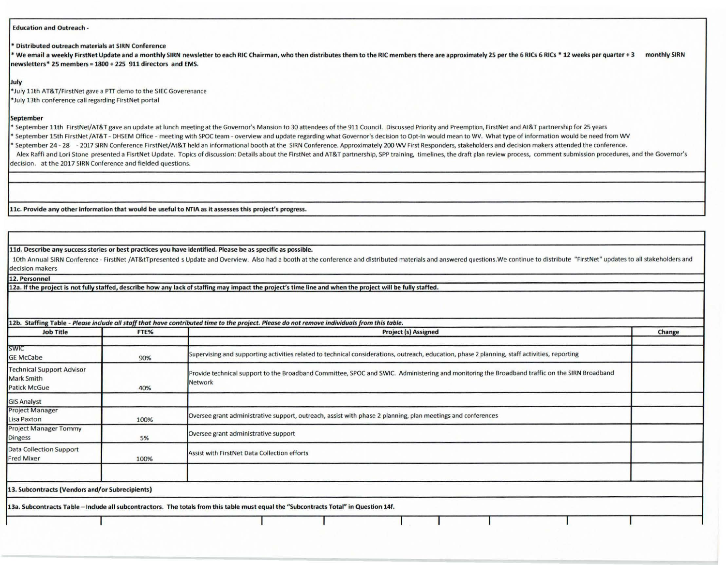## Education and Outreach -

• Distributed outreach materials at SIRN Conference

Ve email a weekly FirstNet Update and a monthly SIRN newsletter to each RIC Chairman, who then distributes them to the RIC members there are approximately 25 per the 6 RICs 6 RICs \* 12 weeks per quarter + 3 monthly SIRN newsletters• 25 members= 1800 + 225 911 directors and **EMS.** 

## July

\*July 11th AT& T/FirstNet gave a PTT demo to the SIEC Goverenance • July 13th conference call regarding First Net portal

## September

\* September 11th FirstNet/AT&T gave an update at lunch meeting at the Governor's Mansion to 30 attendees of the 911 Council. Discussed Priority and Preemption, FirstNet and At&T partnership for 25 years

• September 15th FirstNet /AT&T - DHSEM Office - meeting with SPOC team - overview and update regarding what Governor's decision to Opt-In would mean to WV. What type of information would be need from WV

September 24 - 28 - 2017 SIRN Conference FirstNet/At&T held an informational booth at the SIRN Conference. Approximately 200 WV First Responders, stakeholders and decision makers attended the conference.

Alex Raffi and Lori Stone presented a FisrtNet Update. Topics of discussion: Details about the FirstNet and AT&T partnership, SPP training, timelines, the draft plan review process, comment submission procedures, and the G decision. at the 2017 SIRN Conference and fielded questions.

llc. Provide any other information that would be useful to NTIA as it assesses this project's progress.

**11d. Describe any success stories or best practice s you have identified. Please be as specific as possible.** 

10th Annual SIRN Conference - FirstNet /AT&tTpresented s Update and Overview. Also had a booth at the conference and distributed materials and answered questions. We continue to distribute "FirstNet" updates to all stakeho decision makers

## 12. **Personnel**

**12a.** If **the project is not fully staffed, describe how any lack** of **staffing may impact** the **project's time** line **and when the project will be** fully **staffed.** 

| <b>Job Title</b>                                                             | FTE%                                                                                                                                                 | <b>Project (s) Assigned</b>                                                                                                                              |  |  |  |  |  |  |
|------------------------------------------------------------------------------|------------------------------------------------------------------------------------------------------------------------------------------------------|----------------------------------------------------------------------------------------------------------------------------------------------------------|--|--|--|--|--|--|
| <b>SWIC</b><br><b>GE McCabe</b>                                              | Supervising and supporting activities related to technical considerations, outreach, education, phase 2 planning, staff activities, reporting<br>90% |                                                                                                                                                          |  |  |  |  |  |  |
| <b>Technical Support Advisor</b><br><b>Mark Smith</b><br><b>Patick McGue</b> | 40%                                                                                                                                                  | Provide technical support to the Broadband Committee, SPOC and SWIC. Administering and monitoring the Broadband traffic on the SIRN Broadband<br>Network |  |  |  |  |  |  |
| <b>GIS Analyst</b>                                                           |                                                                                                                                                      |                                                                                                                                                          |  |  |  |  |  |  |
| <b>Project Manager</b><br>Lisa Paxton                                        | 100%                                                                                                                                                 | Oversee grant administrative support, outreach, assist with phase 2 planning, plan meetings and conferences                                              |  |  |  |  |  |  |
| <b>Project Manager Tommy</b><br>Dingess                                      | 5%                                                                                                                                                   | Oversee grant administrative support                                                                                                                     |  |  |  |  |  |  |
| Data Collection Support<br>Fred Mixer                                        | 100%                                                                                                                                                 | Assist with FirstNet Data Collection efforts                                                                                                             |  |  |  |  |  |  |
|                                                                              |                                                                                                                                                      |                                                                                                                                                          |  |  |  |  |  |  |
| 13. Subcontracts (Vendors and/or Subrecipients)                              |                                                                                                                                                      |                                                                                                                                                          |  |  |  |  |  |  |
|                                                                              |                                                                                                                                                      | 13a. Subcontracts Table - Include all subcontractors. The totals from this table must equal the "Subcontracts Total" in Question 14f.                    |  |  |  |  |  |  |
|                                                                              |                                                                                                                                                      |                                                                                                                                                          |  |  |  |  |  |  |